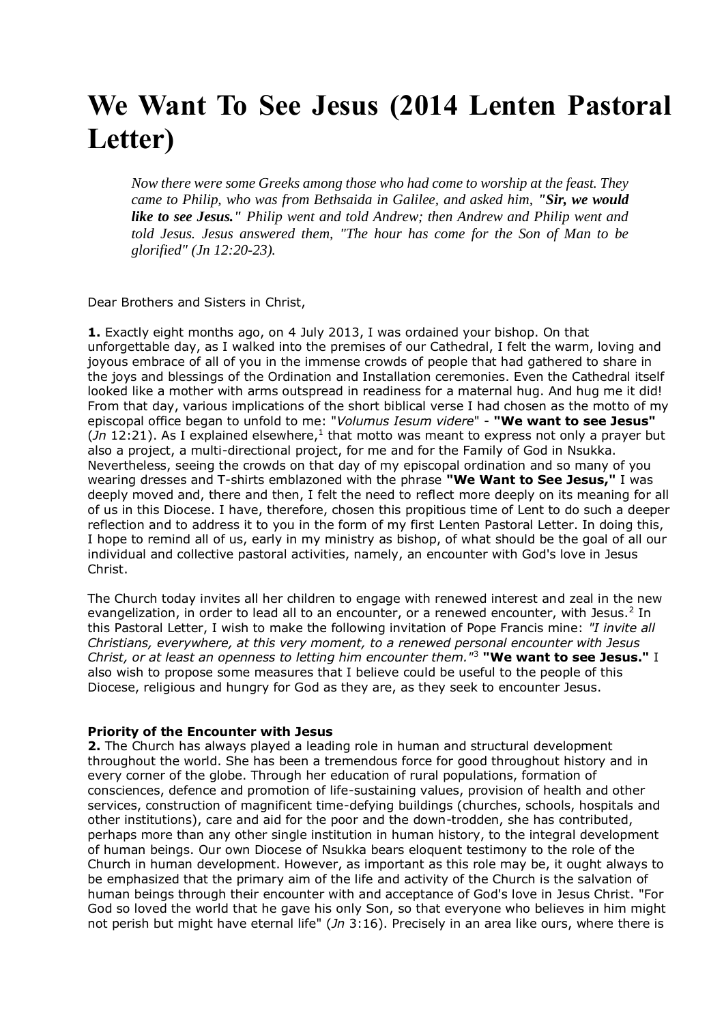# **We Want To See Jesus (2014 Lenten Pastoral Letter)**

*Now there were some Greeks among those who had come to worship at the feast. They came to Philip, who was from Bethsaida in Galilee, and asked him, "Sir, we would like to see Jesus." Philip went and told Andrew; then Andrew and Philip went and told Jesus. Jesus answered them, "The hour has come for the Son of Man to be glorified" (Jn 12:20-23).*

Dear Brothers and Sisters in Christ,

**1.** Exactly eight months ago, on 4 July 2013, I was ordained your bishop. On that unforgettable day, as I walked into the premises of our Cathedral, I felt the warm, loving and joyous embrace of all of you in the immense crowds of people that had gathered to share in the joys and blessings of the Ordination and Installation ceremonies. Even the Cathedral itself looked like a mother with arms outspread in readiness for a maternal hug. And hug me it did! From that day, various implications of the short biblical verse I had chosen as the motto of my episcopal office began to unfold to me: "*Volumus Iesum videre*" - **"We want to see Jesus"**  $($ *Jn* 12:21). As I explained elsewhere,<sup>1</sup> that motto was meant to express not only a prayer but also a project, a multi-directional project, for me and for the Family of God in Nsukka. Nevertheless, seeing the crowds on that day of my episcopal ordination and so many of you wearing dresses and T-shirts emblazoned with the phrase **"We Want to See Jesus,"** I was deeply moved and, there and then, I felt the need to reflect more deeply on its meaning for all of us in this Diocese. I have, therefore, chosen this propitious time of Lent to do such a deeper reflection and to address it to you in the form of my first Lenten Pastoral Letter. In doing this, I hope to remind all of us, early in my ministry as bishop, of what should be the goal of all our individual and collective pastoral activities, namely, an encounter with God's love in Jesus Christ.

The Church today invites all her children to engage with renewed interest and zeal in the new evangelization, in order to lead all to an encounter, or a renewed encounter, with Jesus.<sup>2</sup> In this Pastoral Letter, I wish to make the following invitation of Pope Francis mine: *"I invite all Christians, everywhere, at this very moment, to a renewed personal encounter with Jesus Christ, or at least an openness to letting him encounter them."*<sup>3</sup> **"We want to see Jesus."** I also wish to propose some measures that I believe could be useful to the people of this Diocese, religious and hungry for God as they are, as they seek to encounter Jesus.

## **Priority of the Encounter with Jesus**

**2.** The Church has always played a leading role in human and structural development throughout the world. She has been a tremendous force for good throughout history and in every corner of the globe. Through her education of rural populations, formation of consciences, defence and promotion of life-sustaining values, provision of health and other services, construction of magnificent time-defying buildings (churches, schools, hospitals and other institutions), care and aid for the poor and the down-trodden, she has contributed, perhaps more than any other single institution in human history, to the integral development of human beings. Our own Diocese of Nsukka bears eloquent testimony to the role of the Church in human development. However, as important as this role may be, it ought always to be emphasized that the primary aim of the life and activity of the Church is the salvation of human beings through their encounter with and acceptance of God's love in Jesus Christ. "For God so loved the world that he gave his only Son, so that everyone who believes in him might not perish but might have eternal life" (*Jn* 3:16). Precisely in an area like ours, where there is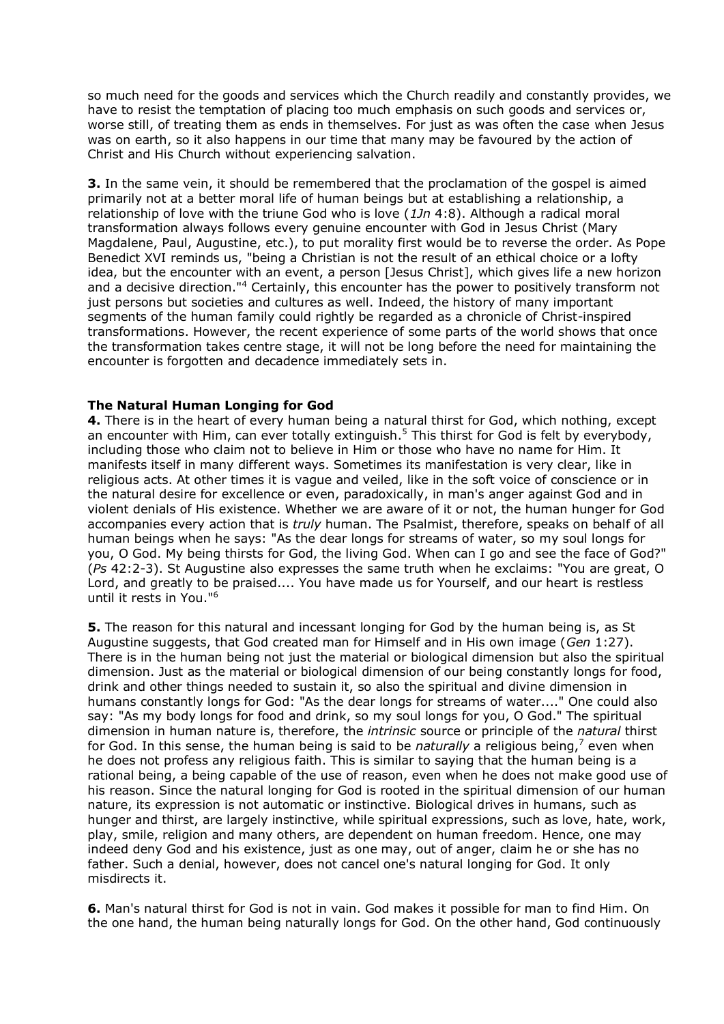so much need for the goods and services which the Church readily and constantly provides, we have to resist the temptation of placing too much emphasis on such goods and services or, worse still, of treating them as ends in themselves. For just as was often the case when Jesus was on earth, so it also happens in our time that many may be favoured by the action of Christ and His Church without experiencing salvation.

**3.** In the same vein, it should be remembered that the proclamation of the gospel is aimed primarily not at a better moral life of human beings but at establishing a relationship, a relationship of love with the triune God who is love (*1Jn* 4:8). Although a radical moral transformation always follows every genuine encounter with God in Jesus Christ (Mary Magdalene, Paul, Augustine, etc.), to put morality first would be to reverse the order. As Pope Benedict XVI reminds us, "being a Christian is not the result of an ethical choice or a lofty idea, but the encounter with an event, a person [Jesus Christ], which gives life a new horizon and a decisive direction."<sup>4</sup> Certainly, this encounter has the power to positively transform not just persons but societies and cultures as well. Indeed, the history of many important segments of the human family could rightly be regarded as a chronicle of Christ-inspired transformations. However, the recent experience of some parts of the world shows that once the transformation takes centre stage, it will not be long before the need for maintaining the encounter is forgotten and decadence immediately sets in.

# **The Natural Human Longing for God**

**4.** There is in the heart of every human being a natural thirst for God, which nothing, except an encounter with Him, can ever totally extinguish.<sup>5</sup> This thirst for God is felt by everybody, including those who claim not to believe in Him or those who have no name for Him. It manifests itself in many different ways. Sometimes its manifestation is very clear, like in religious acts. At other times it is vague and veiled, like in the soft voice of conscience or in the natural desire for excellence or even, paradoxically, in man's anger against God and in violent denials of His existence. Whether we are aware of it or not, the human hunger for God accompanies every action that is *truly* human. The Psalmist, therefore, speaks on behalf of all human beings when he says: "As the dear longs for streams of water, so my soul longs for you, O God. My being thirsts for God, the living God. When can I go and see the face of God?" (*Ps* 42:2-3). St Augustine also expresses the same truth when he exclaims: "You are great, O Lord, and greatly to be praised.... You have made us for Yourself, and our heart is restless until it rests in You."<sup>6</sup>

**5.** The reason for this natural and incessant longing for God by the human being is, as St Augustine suggests, that God created man for Himself and in His own image (*Gen* 1:27). There is in the human being not just the material or biological dimension but also the spiritual dimension. Just as the material or biological dimension of our being constantly longs for food, drink and other things needed to sustain it, so also the spiritual and divine dimension in humans constantly longs for God: "As the dear longs for streams of water...." One could also say: "As my body longs for food and drink, so my soul longs for you, O God." The spiritual dimension in human nature is, therefore, the *intrinsic* source or principle of the *natural* thirst for God. In this sense, the human being is said to be *naturally* a religious being,<sup>7</sup> even when he does not profess any religious faith. This is similar to saying that the human being is a rational being, a being capable of the use of reason, even when he does not make good use of his reason. Since the natural longing for God is rooted in the spiritual dimension of our human nature, its expression is not automatic or instinctive. Biological drives in humans, such as hunger and thirst, are largely instinctive, while spiritual expressions, such as love, hate, work, play, smile, religion and many others, are dependent on human freedom. Hence, one may indeed deny God and his existence, just as one may, out of anger, claim he or she has no father. Such a denial, however, does not cancel one's natural longing for God. It only misdirects it.

**6.** Man's natural thirst for God is not in vain. God makes it possible for man to find Him. On the one hand, the human being naturally longs for God. On the other hand, God continuously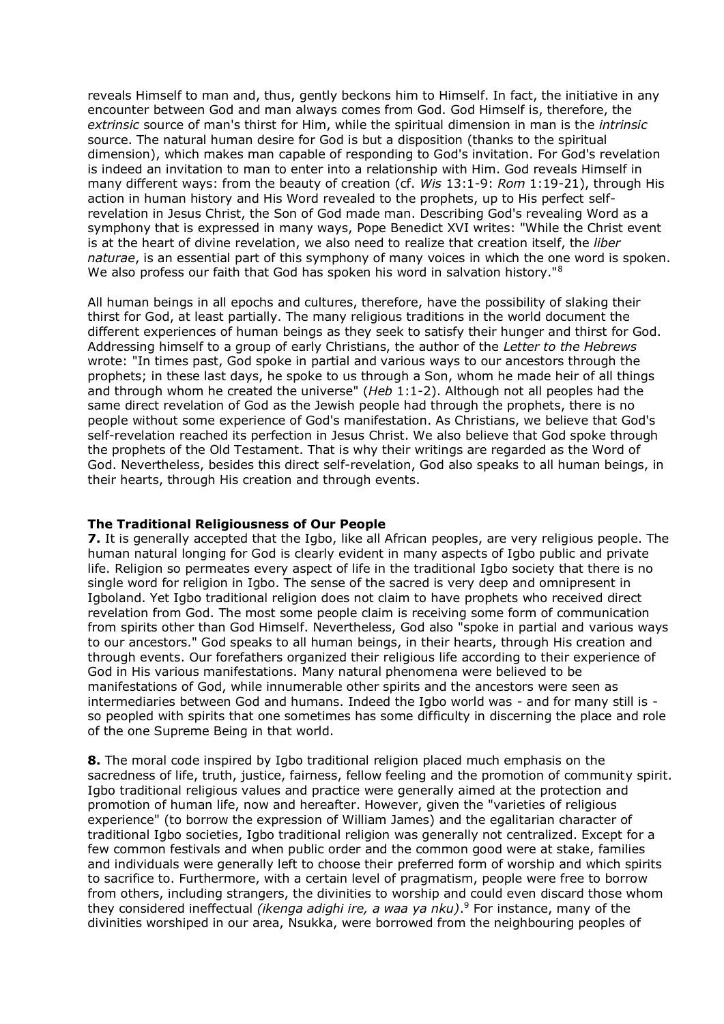reveals Himself to man and, thus, gently beckons him to Himself. In fact, the initiative in any encounter between God and man always comes from God. God Himself is, therefore, the *extrinsic* source of man's thirst for Him, while the spiritual dimension in man is the *intrinsic* source. The natural human desire for God is but a disposition (thanks to the spiritual dimension), which makes man capable of responding to God's invitation. For God's revelation is indeed an invitation to man to enter into a relationship with Him. God reveals Himself in many different ways: from the beauty of creation (cf. *Wis* 13:1-9: *Rom* 1:19-21), through His action in human history and His Word revealed to the prophets, up to His perfect selfrevelation in Jesus Christ, the Son of God made man. Describing God's revealing Word as a symphony that is expressed in many ways, Pope Benedict XVI writes: "While the Christ event is at the heart of divine revelation, we also need to realize that creation itself, the *liber naturae*, is an essential part of this symphony of many voices in which the one word is spoken. We also profess our faith that God has spoken his word in salvation history."<sup>8</sup>

All human beings in all epochs and cultures, therefore, have the possibility of slaking their thirst for God, at least partially. The many religious traditions in the world document the different experiences of human beings as they seek to satisfy their hunger and thirst for God. Addressing himself to a group of early Christians, the author of the *Letter to the Hebrews* wrote: "In times past, God spoke in partial and various ways to our ancestors through the prophets; in these last days, he spoke to us through a Son, whom he made heir of all things and through whom he created the universe" (*Heb* 1:1-2). Although not all peoples had the same direct revelation of God as the Jewish people had through the prophets, there is no people without some experience of God's manifestation. As Christians, we believe that God's self-revelation reached its perfection in Jesus Christ. We also believe that God spoke through the prophets of the Old Testament. That is why their writings are regarded as the Word of God. Nevertheless, besides this direct self-revelation, God also speaks to all human beings, in their hearts, through His creation and through events.

## **The Traditional Religiousness of Our People**

**7.** It is generally accepted that the Igbo, like all African peoples, are very religious people. The human natural longing for God is clearly evident in many aspects of Igbo public and private life. Religion so permeates every aspect of life in the traditional Igbo society that there is no single word for religion in Igbo. The sense of the sacred is very deep and omnipresent in Igboland. Yet Igbo traditional religion does not claim to have prophets who received direct revelation from God. The most some people claim is receiving some form of communication from spirits other than God Himself. Nevertheless, God also "spoke in partial and various ways to our ancestors." God speaks to all human beings, in their hearts, through His creation and through events. Our forefathers organized their religious life according to their experience of God in His various manifestations. Many natural phenomena were believed to be manifestations of God, while innumerable other spirits and the ancestors were seen as intermediaries between God and humans. Indeed the Igbo world was - and for many still is so peopled with spirits that one sometimes has some difficulty in discerning the place and role of the one Supreme Being in that world.

**8.** The moral code inspired by Igbo traditional religion placed much emphasis on the sacredness of life, truth, justice, fairness, fellow feeling and the promotion of community spirit. Igbo traditional religious values and practice were generally aimed at the protection and promotion of human life, now and hereafter. However, given the "varieties of religious experience" (to borrow the expression of William James) and the egalitarian character of traditional Igbo societies, Igbo traditional religion was generally not centralized. Except for a few common festivals and when public order and the common good were at stake, families and individuals were generally left to choose their preferred form of worship and which spirits to sacrifice to. Furthermore, with a certain level of pragmatism, people were free to borrow from others, including strangers, the divinities to worship and could even discard those whom they considered ineffectual *(ikenga adighi ire, a waa ya nku)*. <sup>9</sup> For instance, many of the divinities worshiped in our area, Nsukka, were borrowed from the neighbouring peoples of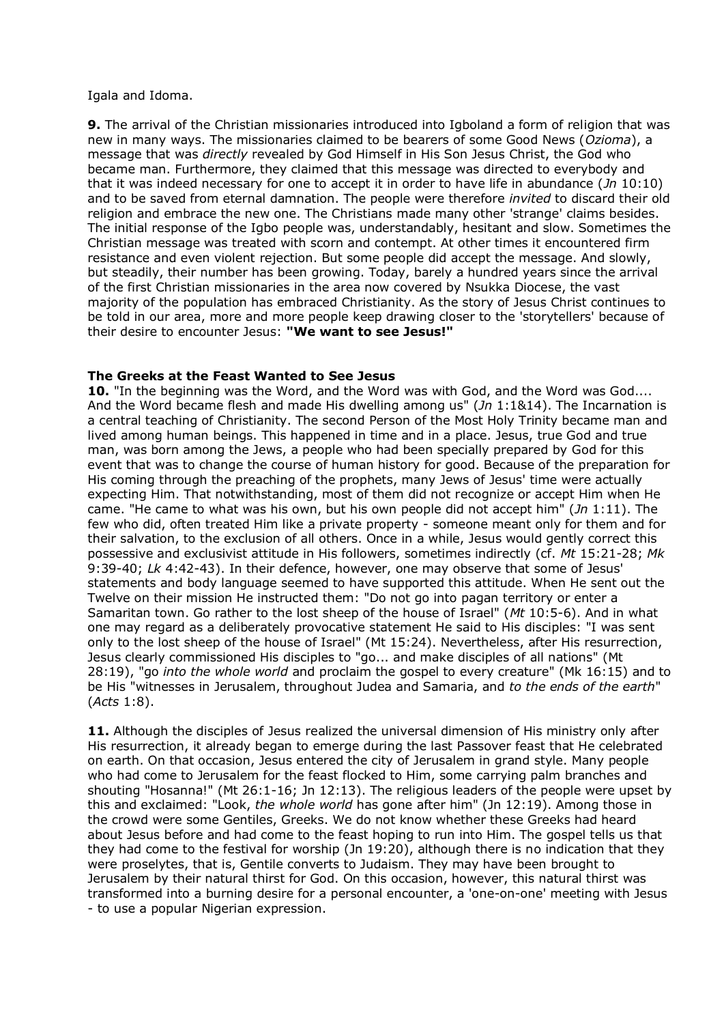#### Igala and Idoma.

**9.** The arrival of the Christian missionaries introduced into Igboland a form of religion that was new in many ways. The missionaries claimed to be bearers of some Good News (*Ozioma*), a message that was *directly* revealed by God Himself in His Son Jesus Christ, the God who became man. Furthermore, they claimed that this message was directed to everybody and that it was indeed necessary for one to accept it in order to have life in abundance (*Jn* 10:10) and to be saved from eternal damnation. The people were therefore *invited* to discard their old religion and embrace the new one. The Christians made many other 'strange' claims besides. The initial response of the Igbo people was, understandably, hesitant and slow. Sometimes the Christian message was treated with scorn and contempt. At other times it encountered firm resistance and even violent rejection. But some people did accept the message. And slowly, but steadily, their number has been growing. Today, barely a hundred years since the arrival of the first Christian missionaries in the area now covered by Nsukka Diocese, the vast majority of the population has embraced Christianity. As the story of Jesus Christ continues to be told in our area, more and more people keep drawing closer to the 'storytellers' because of their desire to encounter Jesus: **"We want to see Jesus!"**

# **The Greeks at the Feast Wanted to See Jesus**

**10.** "In the beginning was the Word, and the Word was with God, and the Word was God.... And the Word became flesh and made His dwelling among us" (*Jn* 1:1&14). The Incarnation is a central teaching of Christianity. The second Person of the Most Holy Trinity became man and lived among human beings. This happened in time and in a place. Jesus, true God and true man, was born among the Jews, a people who had been specially prepared by God for this event that was to change the course of human history for good. Because of the preparation for His coming through the preaching of the prophets, many Jews of Jesus' time were actually expecting Him. That notwithstanding, most of them did not recognize or accept Him when He came. "He came to what was his own, but his own people did not accept him" (*Jn* 1:11). The few who did, often treated Him like a private property - someone meant only for them and for their salvation, to the exclusion of all others. Once in a while, Jesus would gently correct this possessive and exclusivist attitude in His followers, sometimes indirectly (cf. *Mt* 15:21-28; *Mk* 9:39-40; *Lk* 4:42-43). In their defence, however, one may observe that some of Jesus' statements and body language seemed to have supported this attitude. When He sent out the Twelve on their mission He instructed them: "Do not go into pagan territory or enter a Samaritan town. Go rather to the lost sheep of the house of Israel" (*Mt* 10:5-6). And in what one may regard as a deliberately provocative statement He said to His disciples: "I was sent only to the lost sheep of the house of Israel" (Mt 15:24). Nevertheless, after His resurrection, Jesus clearly commissioned His disciples to "go... and make disciples of all nations" (Mt 28:19), "go *into the whole world* and proclaim the gospel to every creature" (Mk 16:15) and to be His "witnesses in Jerusalem, throughout Judea and Samaria, and *to the ends of the earth*" (*Acts* 1:8).

11. Although the disciples of Jesus realized the universal dimension of His ministry only after His resurrection, it already began to emerge during the last Passover feast that He celebrated on earth. On that occasion, Jesus entered the city of Jerusalem in grand style. Many people who had come to Jerusalem for the feast flocked to Him, some carrying palm branches and shouting "Hosanna!" (Mt 26:1-16; Jn 12:13). The religious leaders of the people were upset by this and exclaimed: "Look, *the whole world* has gone after him" (Jn 12:19). Among those in the crowd were some Gentiles, Greeks. We do not know whether these Greeks had heard about Jesus before and had come to the feast hoping to run into Him. The gospel tells us that they had come to the festival for worship (Jn 19:20), although there is no indication that they were proselytes, that is, Gentile converts to Judaism. They may have been brought to Jerusalem by their natural thirst for God. On this occasion, however, this natural thirst was transformed into a burning desire for a personal encounter, a 'one-on-one' meeting with Jesus - to use a popular Nigerian expression.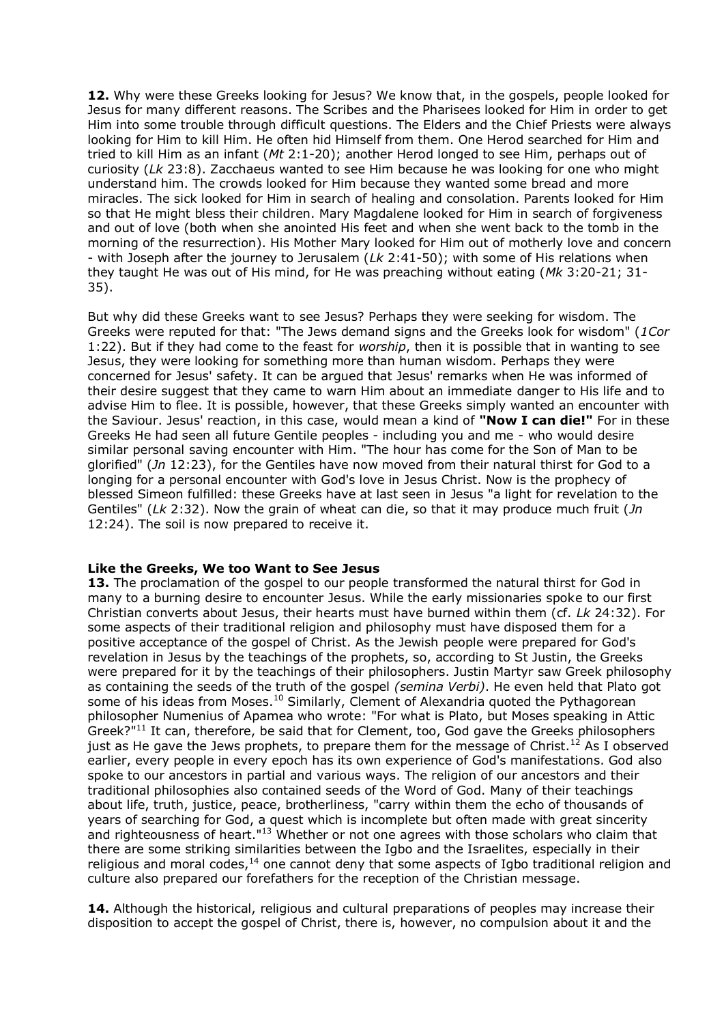**12.** Why were these Greeks looking for Jesus? We know that, in the gospels, people looked for Jesus for many different reasons. The Scribes and the Pharisees looked for Him in order to get Him into some trouble through difficult questions. The Elders and the Chief Priests were always looking for Him to kill Him. He often hid Himself from them. One Herod searched for Him and tried to kill Him as an infant (*Mt* 2:1-20); another Herod longed to see Him, perhaps out of curiosity (*Lk* 23:8). Zacchaeus wanted to see Him because he was looking for one who might understand him. The crowds looked for Him because they wanted some bread and more miracles. The sick looked for Him in search of healing and consolation. Parents looked for Him so that He might bless their children. Mary Magdalene looked for Him in search of forgiveness and out of love (both when she anointed His feet and when she went back to the tomb in the morning of the resurrection). His Mother Mary looked for Him out of motherly love and concern - with Joseph after the journey to Jerusalem (*Lk* 2:41-50); with some of His relations when they taught He was out of His mind, for He was preaching without eating (*Mk* 3:20-21; 31- 35).

But why did these Greeks want to see Jesus? Perhaps they were seeking for wisdom. The Greeks were reputed for that: "The Jews demand signs and the Greeks look for wisdom" (*1Cor* 1:22). But if they had come to the feast for *worship*, then it is possible that in wanting to see Jesus, they were looking for something more than human wisdom. Perhaps they were concerned for Jesus' safety. It can be argued that Jesus' remarks when He was informed of their desire suggest that they came to warn Him about an immediate danger to His life and to advise Him to flee. It is possible, however, that these Greeks simply wanted an encounter with the Saviour. Jesus' reaction, in this case, would mean a kind of **"Now I can die!"** For in these Greeks He had seen all future Gentile peoples - including you and me - who would desire similar personal saving encounter with Him. "The hour has come for the Son of Man to be glorified" (*Jn* 12:23), for the Gentiles have now moved from their natural thirst for God to a longing for a personal encounter with God's love in Jesus Christ. Now is the prophecy of blessed Simeon fulfilled: these Greeks have at last seen in Jesus "a light for revelation to the Gentiles" (*Lk* 2:32). Now the grain of wheat can die, so that it may produce much fruit (*Jn* 12:24). The soil is now prepared to receive it.

## **Like the Greeks, We too Want to See Jesus**

13. The proclamation of the gospel to our people transformed the natural thirst for God in many to a burning desire to encounter Jesus. While the early missionaries spoke to our first Christian converts about Jesus, their hearts must have burned within them (cf. *Lk* 24:32). For some aspects of their traditional religion and philosophy must have disposed them for a positive acceptance of the gospel of Christ. As the Jewish people were prepared for God's revelation in Jesus by the teachings of the prophets, so, according to St Justin, the Greeks were prepared for it by the teachings of their philosophers. Justin Martyr saw Greek philosophy as containing the seeds of the truth of the gospel *(semina Verbi)*. He even held that Plato got some of his ideas from Moses.<sup>10</sup> Similarly, Clement of Alexandria quoted the Pythagorean philosopher Numenius of Apamea who wrote: "For what is Plato, but Moses speaking in Attic Greek?"<sup>11</sup> It can, therefore, be said that for Clement, too, God gave the Greeks philosophers just as He gave the Jews prophets, to prepare them for the message of Christ.<sup>12</sup> As I observed earlier, every people in every epoch has its own experience of God's manifestations. God also spoke to our ancestors in partial and various ways. The religion of our ancestors and their traditional philosophies also contained seeds of the Word of God. Many of their teachings about life, truth, justice, peace, brotherliness, "carry within them the echo of thousands of years of searching for God, a quest which is incomplete but often made with great sincerity and righteousness of heart."<sup>13</sup> Whether or not one agrees with those scholars who claim that there are some striking similarities between the Igbo and the Israelites, especially in their religious and moral codes, $14$  one cannot deny that some aspects of Igbo traditional religion and culture also prepared our forefathers for the reception of the Christian message.

**14.** Although the historical, religious and cultural preparations of peoples may increase their disposition to accept the gospel of Christ, there is, however, no compulsion about it and the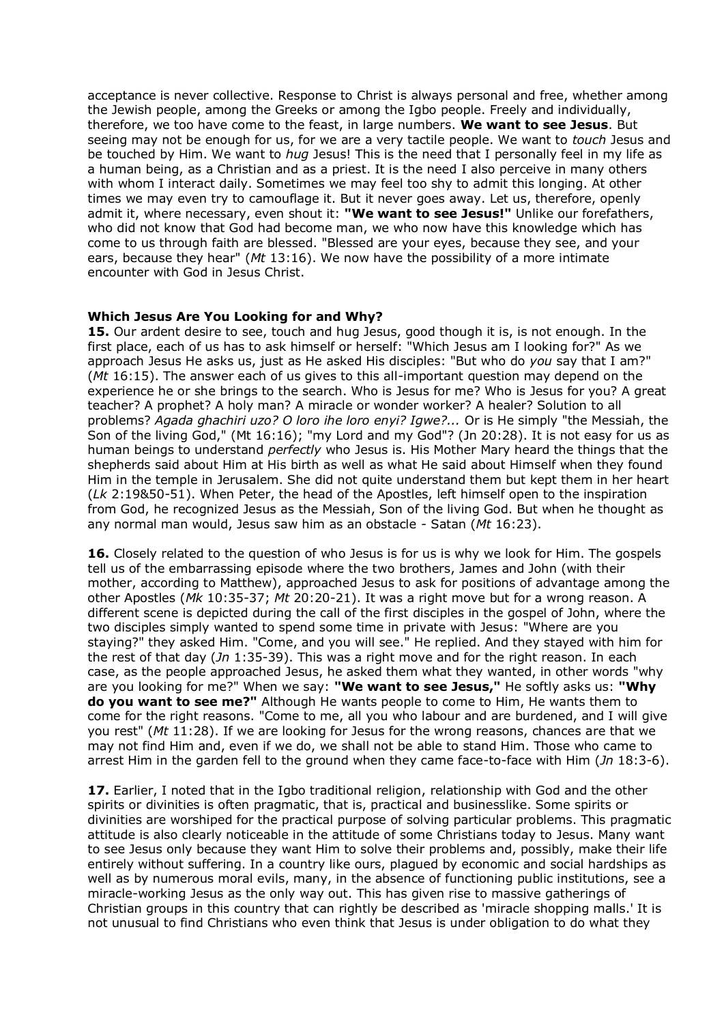acceptance is never collective. Response to Christ is always personal and free, whether among the Jewish people, among the Greeks or among the Igbo people. Freely and individually, therefore, we too have come to the feast, in large numbers. **We want to see Jesus**. But seeing may not be enough for us, for we are a very tactile people. We want to *touch* Jesus and be touched by Him. We want to *hug* Jesus! This is the need that I personally feel in my life as a human being, as a Christian and as a priest. It is the need I also perceive in many others with whom I interact daily. Sometimes we may feel too shy to admit this longing. At other times we may even try to camouflage it. But it never goes away. Let us, therefore, openly admit it, where necessary, even shout it: **"We want to see Jesus!"** Unlike our forefathers, who did not know that God had become man, we who now have this knowledge which has come to us through faith are blessed. "Blessed are your eyes, because they see, and your ears, because they hear" (*Mt* 13:16). We now have the possibility of a more intimate encounter with God in Jesus Christ.

## **Which Jesus Are You Looking for and Why?**

**15.** Our ardent desire to see, touch and hug Jesus, good though it is, is not enough. In the first place, each of us has to ask himself or herself: "Which Jesus am I looking for?" As we approach Jesus He asks us, just as He asked His disciples: "But who do *you* say that I am?" (*Mt* 16:15). The answer each of us gives to this all-important question may depend on the experience he or she brings to the search. Who is Jesus for me? Who is Jesus for you? A great teacher? A prophet? A holy man? A miracle or wonder worker? A healer? Solution to all problems? *Agada ghachiri uzo? O loro ihe loro enyi? Igwe?...* Or is He simply "the Messiah, the Son of the living God," (Mt 16:16); "my Lord and my God"? (Jn 20:28). It is not easy for us as human beings to understand *perfectly* who Jesus is. His Mother Mary heard the things that the shepherds said about Him at His birth as well as what He said about Himself when they found Him in the temple in Jerusalem. She did not quite understand them but kept them in her heart (*Lk* 2:19&50-51). When Peter, the head of the Apostles, left himself open to the inspiration from God, he recognized Jesus as the Messiah, Son of the living God. But when he thought as any normal man would, Jesus saw him as an obstacle - Satan (*Mt* 16:23).

**16.** Closely related to the question of who Jesus is for us is why we look for Him. The gospels tell us of the embarrassing episode where the two brothers, James and John (with their mother, according to Matthew), approached Jesus to ask for positions of advantage among the other Apostles (*Mk* 10:35-37; *Mt* 20:20-21). It was a right move but for a wrong reason. A different scene is depicted during the call of the first disciples in the gospel of John, where the two disciples simply wanted to spend some time in private with Jesus: "Where are you staying?" they asked Him. "Come, and you will see." He replied. And they stayed with him for the rest of that day (*Jn* 1:35-39). This was a right move and for the right reason. In each case, as the people approached Jesus, he asked them what they wanted, in other words "why are you looking for me?" When we say: **"We want to see Jesus,"** He softly asks us: **"Why do you want to see me?"** Although He wants people to come to Him, He wants them to come for the right reasons. "Come to me, all you who labour and are burdened, and I will give you rest" (*Mt* 11:28). If we are looking for Jesus for the wrong reasons, chances are that we may not find Him and, even if we do, we shall not be able to stand Him. Those who came to arrest Him in the garden fell to the ground when they came face-to-face with Him (*Jn* 18:3-6).

17. Earlier, I noted that in the Igbo traditional religion, relationship with God and the other spirits or divinities is often pragmatic, that is, practical and businesslike. Some spirits or divinities are worshiped for the practical purpose of solving particular problems. This pragmatic attitude is also clearly noticeable in the attitude of some Christians today to Jesus. Many want to see Jesus only because they want Him to solve their problems and, possibly, make their life entirely without suffering. In a country like ours, plagued by economic and social hardships as well as by numerous moral evils, many, in the absence of functioning public institutions, see a miracle-working Jesus as the only way out. This has given rise to massive gatherings of Christian groups in this country that can rightly be described as 'miracle shopping malls.' It is not unusual to find Christians who even think that Jesus is under obligation to do what they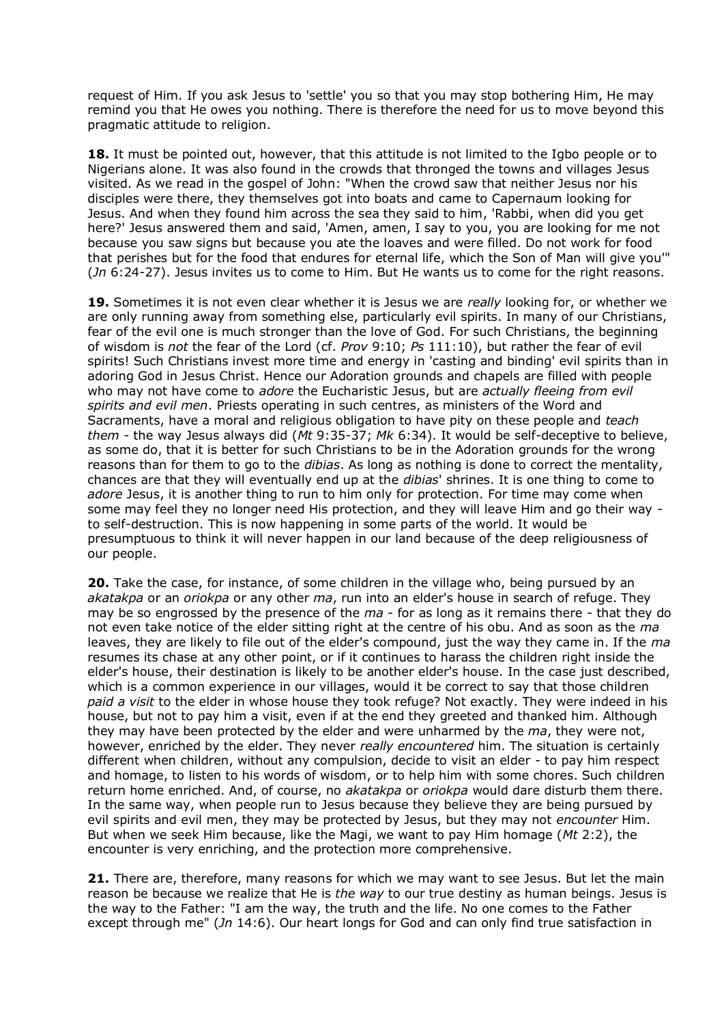request of Him. If you ask Jesus to 'settle' you so that you may stop bothering Him, He may remind you that He owes you nothing. There is therefore the need for us to move beyond this pragmatic attitude to religion.

**18.** It must be pointed out, however, that this attitude is not limited to the Igbo people or to Nigerians alone. It was also found in the crowds that thronged the towns and villages Jesus visited. As we read in the gospel of John: "When the crowd saw that neither Jesus nor his disciples were there, they themselves got into boats and came to Capernaum looking for Jesus. And when they found him across the sea they said to him, 'Rabbi, when did you get here?' Jesus answered them and said, 'Amen, amen, I say to you, you are looking for me not because you saw signs but because you ate the loaves and were filled. Do not work for food that perishes but for the food that endures for eternal life, which the Son of Man will give you'" (*Jn* 6:24-27). Jesus invites us to come to Him. But He wants us to come for the right reasons.

**19.** Sometimes it is not even clear whether it is Jesus we are *really* looking for, or whether we are only running away from something else, particularly evil spirits. In many of our Christians, fear of the evil one is much stronger than the love of God. For such Christians, the beginning of wisdom is *not* the fear of the Lord (cf. *Prov* 9:10; *Ps* 111:10), but rather the fear of evil spirits! Such Christians invest more time and energy in 'casting and binding' evil spirits than in adoring God in Jesus Christ. Hence our Adoration grounds and chapels are filled with people who may not have come to *adore* the Eucharistic Jesus, but are *actually fleeing from evil spirits and evil men*. Priests operating in such centres, as ministers of the Word and Sacraments, have a moral and religious obligation to have pity on these people and *teach them* - the way Jesus always did (*Mt* 9:35-37; *Mk* 6:34). It would be self-deceptive to believe, as some do, that it is better for such Christians to be in the Adoration grounds for the wrong reasons than for them to go to the *dibias*. As long as nothing is done to correct the mentality, chances are that they will eventually end up at the *dibias*' shrines. It is one thing to come to *adore* Jesus, it is another thing to run to him only for protection. For time may come when some may feel they no longer need His protection, and they will leave Him and go their way to self-destruction. This is now happening in some parts of the world. It would be presumptuous to think it will never happen in our land because of the deep religiousness of our people.

**20.** Take the case, for instance, of some children in the village who, being pursued by an *akatakpa* or an *oriokpa* or any other *ma*, run into an elder's house in search of refuge. They may be so engrossed by the presence of the *ma* - for as long as it remains there - that they do not even take notice of the elder sitting right at the centre of his obu. And as soon as the *ma* leaves, they are likely to file out of the elder's compound, just the way they came in. If the *ma* resumes its chase at any other point, or if it continues to harass the children right inside the elder's house, their destination is likely to be another elder's house. In the case just described, which is a common experience in our villages, would it be correct to say that those children *paid a visit* to the elder in whose house they took refuge? Not exactly. They were indeed in his house, but not to pay him a visit, even if at the end they greeted and thanked him. Although they may have been protected by the elder and were unharmed by the *ma*, they were not, however, enriched by the elder. They never *really encountered* him. The situation is certainly different when children, without any compulsion, decide to visit an elder - to pay him respect and homage, to listen to his words of wisdom, or to help him with some chores. Such children return home enriched. And, of course, no *akatakpa* or *oriokpa* would dare disturb them there. In the same way, when people run to Jesus because they believe they are being pursued by evil spirits and evil men, they may be protected by Jesus, but they may not *encounter* Him. But when we seek Him because, like the Magi, we want to pay Him homage (*Mt* 2:2), the encounter is very enriching, and the protection more comprehensive.

**21.** There are, therefore, many reasons for which we may want to see Jesus. But let the main reason be because we realize that He is *the way* to our true destiny as human beings. Jesus is the way to the Father: "I am the way, the truth and the life. No one comes to the Father except through me" (*Jn* 14:6). Our heart longs for God and can only find true satisfaction in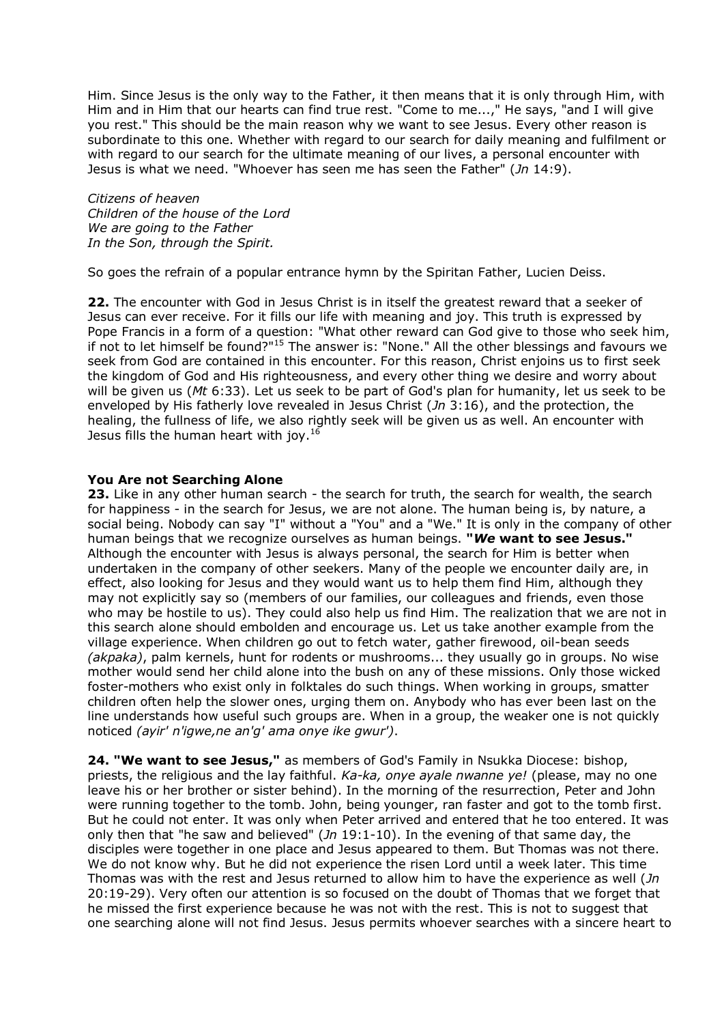Him. Since Jesus is the only way to the Father, it then means that it is only through Him, with Him and in Him that our hearts can find true rest. "Come to me...," He says, "and I will give you rest." This should be the main reason why we want to see Jesus. Every other reason is subordinate to this one. Whether with regard to our search for daily meaning and fulfilment or with regard to our search for the ultimate meaning of our lives, a personal encounter with Jesus is what we need. "Whoever has seen me has seen the Father" (*Jn* 14:9).

*Citizens of heaven Children of the house of the Lord We are going to the Father In the Son, through the Spirit.*

So goes the refrain of a popular entrance hymn by the Spiritan Father, Lucien Deiss.

**22.** The encounter with God in Jesus Christ is in itself the greatest reward that a seeker of Jesus can ever receive. For it fills our life with meaning and joy. This truth is expressed by Pope Francis in a form of a question: "What other reward can God give to those who seek him, if not to let himself be found?"<sup>15</sup> The answer is: "None." All the other blessings and favours we seek from God are contained in this encounter. For this reason, Christ enjoins us to first seek the kingdom of God and His righteousness, and every other thing we desire and worry about will be given us (*Mt* 6:33). Let us seek to be part of God's plan for humanity, let us seek to be enveloped by His fatherly love revealed in Jesus Christ (*Jn* 3:16), and the protection, the healing, the fullness of life, we also rightly seek will be given us as well. An encounter with Jesus fills the human heart with joy.<sup>16</sup>

## **You Are not Searching Alone**

**23.** Like in any other human search - the search for truth, the search for wealth, the search for happiness - in the search for Jesus, we are not alone. The human being is, by nature, a social being. Nobody can say "I" without a "You" and a "We." It is only in the company of other human beings that we recognize ourselves as human beings. **"***We* **want to see Jesus."** Although the encounter with Jesus is always personal, the search for Him is better when undertaken in the company of other seekers. Many of the people we encounter daily are, in effect, also looking for Jesus and they would want us to help them find Him, although they may not explicitly say so (members of our families, our colleagues and friends, even those who may be hostile to us). They could also help us find Him. The realization that we are not in this search alone should embolden and encourage us. Let us take another example from the village experience. When children go out to fetch water, gather firewood, oil-bean seeds *(akpaka)*, palm kernels, hunt for rodents or mushrooms... they usually go in groups. No wise mother would send her child alone into the bush on any of these missions. Only those wicked foster-mothers who exist only in folktales do such things. When working in groups, smatter children often help the slower ones, urging them on. Anybody who has ever been last on the line understands how useful such groups are. When in a group, the weaker one is not quickly noticed *(ayir' n'igwe,ne an'g' ama onye ike gwur')*.

**24. "We want to see Jesus,"** as members of God's Family in Nsukka Diocese: bishop, priests, the religious and the lay faithful. *Ka-ka, onye ayale nwanne ye!* (please, may no one leave his or her brother or sister behind). In the morning of the resurrection, Peter and John were running together to the tomb. John, being younger, ran faster and got to the tomb first. But he could not enter. It was only when Peter arrived and entered that he too entered. It was only then that "he saw and believed" (*Jn* 19:1-10). In the evening of that same day, the disciples were together in one place and Jesus appeared to them. But Thomas was not there. We do not know why. But he did not experience the risen Lord until a week later. This time Thomas was with the rest and Jesus returned to allow him to have the experience as well (*Jn* 20:19-29). Very often our attention is so focused on the doubt of Thomas that we forget that he missed the first experience because he was not with the rest. This is not to suggest that one searching alone will not find Jesus. Jesus permits whoever searches with a sincere heart to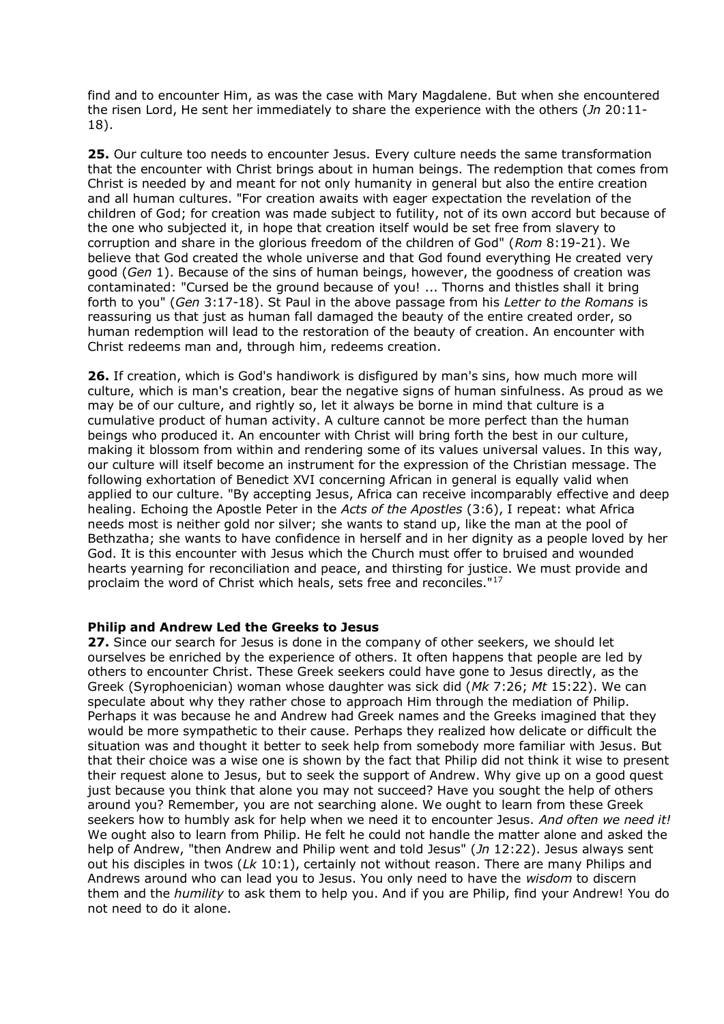find and to encounter Him, as was the case with Mary Magdalene. But when she encountered the risen Lord, He sent her immediately to share the experience with the others (*Jn* 20:11- 18).

**25.** Our culture too needs to encounter Jesus. Every culture needs the same transformation that the encounter with Christ brings about in human beings. The redemption that comes from Christ is needed by and meant for not only humanity in general but also the entire creation and all human cultures. "For creation awaits with eager expectation the revelation of the children of God; for creation was made subject to futility, not of its own accord but because of the one who subjected it, in hope that creation itself would be set free from slavery to corruption and share in the glorious freedom of the children of God" (*Rom* 8:19-21). We believe that God created the whole universe and that God found everything He created very good (*Gen* 1). Because of the sins of human beings, however, the goodness of creation was contaminated: "Cursed be the ground because of you! ... Thorns and thistles shall it bring forth to you" (*Gen* 3:17-18). St Paul in the above passage from his *Letter to the Romans* is reassuring us that just as human fall damaged the beauty of the entire created order, so human redemption will lead to the restoration of the beauty of creation. An encounter with Christ redeems man and, through him, redeems creation.

**26.** If creation, which is God's handiwork is disfigured by man's sins, how much more will culture, which is man's creation, bear the negative signs of human sinfulness. As proud as we may be of our culture, and rightly so, let it always be borne in mind that culture is a cumulative product of human activity. A culture cannot be more perfect than the human beings who produced it. An encounter with Christ will bring forth the best in our culture, making it blossom from within and rendering some of its values universal values. In this way, our culture will itself become an instrument for the expression of the Christian message. The following exhortation of Benedict XVI concerning African in general is equally valid when applied to our culture. "By accepting Jesus, Africa can receive incomparably effective and deep healing. Echoing the Apostle Peter in the *Acts of the Apostles* (3:6), I repeat: what Africa needs most is neither gold nor silver; she wants to stand up, like the man at the pool of Bethzatha; she wants to have confidence in herself and in her dignity as a people loved by her God. It is this encounter with Jesus which the Church must offer to bruised and wounded hearts yearning for reconciliation and peace, and thirsting for justice. We must provide and proclaim the word of Christ which heals, sets free and reconciles."<sup>17</sup>

## **Philip and Andrew Led the Greeks to Jesus**

**27.** Since our search for Jesus is done in the company of other seekers, we should let ourselves be enriched by the experience of others. It often happens that people are led by others to encounter Christ. These Greek seekers could have gone to Jesus directly, as the Greek (Syrophoenician) woman whose daughter was sick did (*Mk* 7:26; *Mt* 15:22). We can speculate about why they rather chose to approach Him through the mediation of Philip. Perhaps it was because he and Andrew had Greek names and the Greeks imagined that they would be more sympathetic to their cause. Perhaps they realized how delicate or difficult the situation was and thought it better to seek help from somebody more familiar with Jesus. But that their choice was a wise one is shown by the fact that Philip did not think it wise to present their request alone to Jesus, but to seek the support of Andrew. Why give up on a good quest just because you think that alone you may not succeed? Have you sought the help of others around you? Remember, you are not searching alone. We ought to learn from these Greek seekers how to humbly ask for help when we need it to encounter Jesus. *And often we need it!* We ought also to learn from Philip. He felt he could not handle the matter alone and asked the help of Andrew, "then Andrew and Philip went and told Jesus" (*Jn* 12:22). Jesus always sent out his disciples in twos (*Lk* 10:1), certainly not without reason. There are many Philips and Andrews around who can lead you to Jesus. You only need to have the *wisdom* to discern them and the *humility* to ask them to help you. And if you are Philip, find your Andrew! You do not need to do it alone.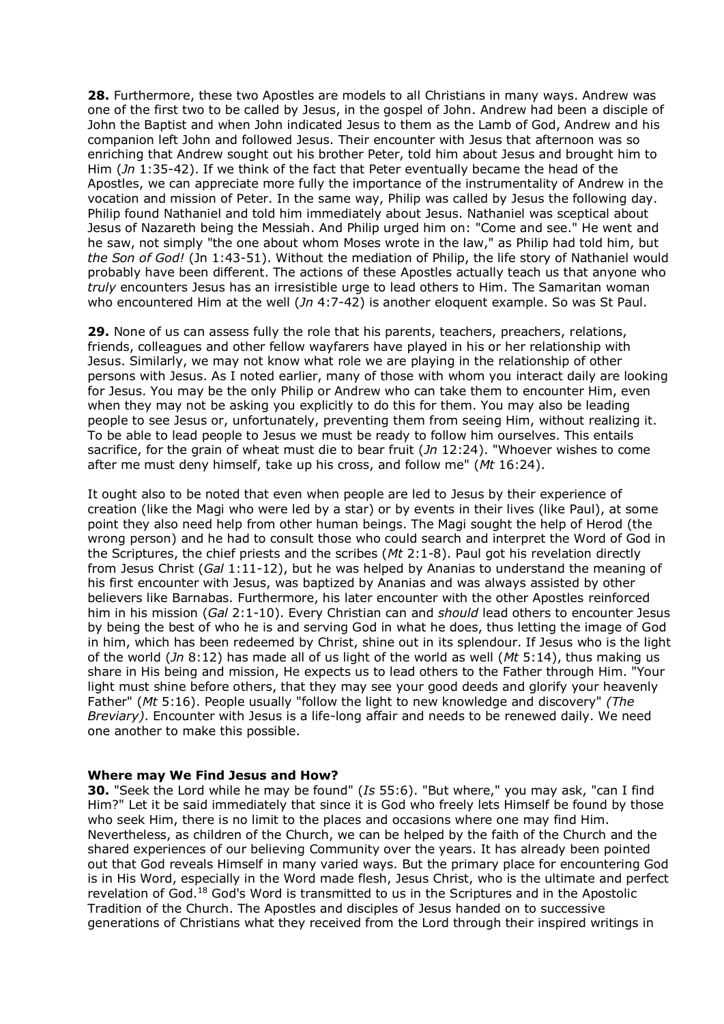**28.** Furthermore, these two Apostles are models to all Christians in many ways. Andrew was one of the first two to be called by Jesus, in the gospel of John. Andrew had been a disciple of John the Baptist and when John indicated Jesus to them as the Lamb of God, Andrew and his companion left John and followed Jesus. Their encounter with Jesus that afternoon was so enriching that Andrew sought out his brother Peter, told him about Jesus and brought him to Him (*Jn* 1:35-42). If we think of the fact that Peter eventually became the head of the Apostles, we can appreciate more fully the importance of the instrumentality of Andrew in the vocation and mission of Peter. In the same way, Philip was called by Jesus the following day. Philip found Nathaniel and told him immediately about Jesus. Nathaniel was sceptical about Jesus of Nazareth being the Messiah. And Philip urged him on: "Come and see." He went and he saw, not simply "the one about whom Moses wrote in the law," as Philip had told him, but *the Son of God!* (Jn 1:43-51). Without the mediation of Philip, the life story of Nathaniel would probably have been different. The actions of these Apostles actually teach us that anyone who *truly* encounters Jesus has an irresistible urge to lead others to Him. The Samaritan woman who encountered Him at the well (*Jn* 4:7-42) is another eloquent example. So was St Paul.

**29.** None of us can assess fully the role that his parents, teachers, preachers, relations, friends, colleagues and other fellow wayfarers have played in his or her relationship with Jesus. Similarly, we may not know what role we are playing in the relationship of other persons with Jesus. As I noted earlier, many of those with whom you interact daily are looking for Jesus. You may be the only Philip or Andrew who can take them to encounter Him, even when they may not be asking you explicitly to do this for them. You may also be leading people to see Jesus or, unfortunately, preventing them from seeing Him, without realizing it. To be able to lead people to Jesus we must be ready to follow him ourselves. This entails sacrifice, for the grain of wheat must die to bear fruit (*Jn* 12:24). "Whoever wishes to come after me must deny himself, take up his cross, and follow me" (*Mt* 16:24).

It ought also to be noted that even when people are led to Jesus by their experience of creation (like the Magi who were led by a star) or by events in their lives (like Paul), at some point they also need help from other human beings. The Magi sought the help of Herod (the wrong person) and he had to consult those who could search and interpret the Word of God in the Scriptures, the chief priests and the scribes (*Mt* 2:1-8). Paul got his revelation directly from Jesus Christ (*Gal* 1:11-12), but he was helped by Ananias to understand the meaning of his first encounter with Jesus, was baptized by Ananias and was always assisted by other believers like Barnabas. Furthermore, his later encounter with the other Apostles reinforced him in his mission (*Gal* 2:1-10). Every Christian can and *should* lead others to encounter Jesus by being the best of who he is and serving God in what he does, thus letting the image of God in him, which has been redeemed by Christ, shine out in its splendour. If Jesus who is the light of the world (*Jn* 8:12) has made all of us light of the world as well (*Mt* 5:14), thus making us share in His being and mission, He expects us to lead others to the Father through Him. "Your light must shine before others, that they may see your good deeds and glorify your heavenly Father" (*Mt* 5:16). People usually "follow the light to new knowledge and discovery" *(The Breviary)*. Encounter with Jesus is a life-long affair and needs to be renewed daily. We need one another to make this possible.

#### **Where may We Find Jesus and How?**

**30.** "Seek the Lord while he may be found" (*Is* 55:6). "But where," you may ask, "can I find Him?" Let it be said immediately that since it is God who freely lets Himself be found by those who seek Him, there is no limit to the places and occasions where one may find Him. Nevertheless, as children of the Church, we can be helped by the faith of the Church and the shared experiences of our believing Community over the years. It has already been pointed out that God reveals Himself in many varied ways. But the primary place for encountering God is in His Word, especially in the Word made flesh, Jesus Christ, who is the ultimate and perfect revelation of God.<sup>18</sup> God's Word is transmitted to us in the Scriptures and in the Apostolic Tradition of the Church. The Apostles and disciples of Jesus handed on to successive generations of Christians what they received from the Lord through their inspired writings in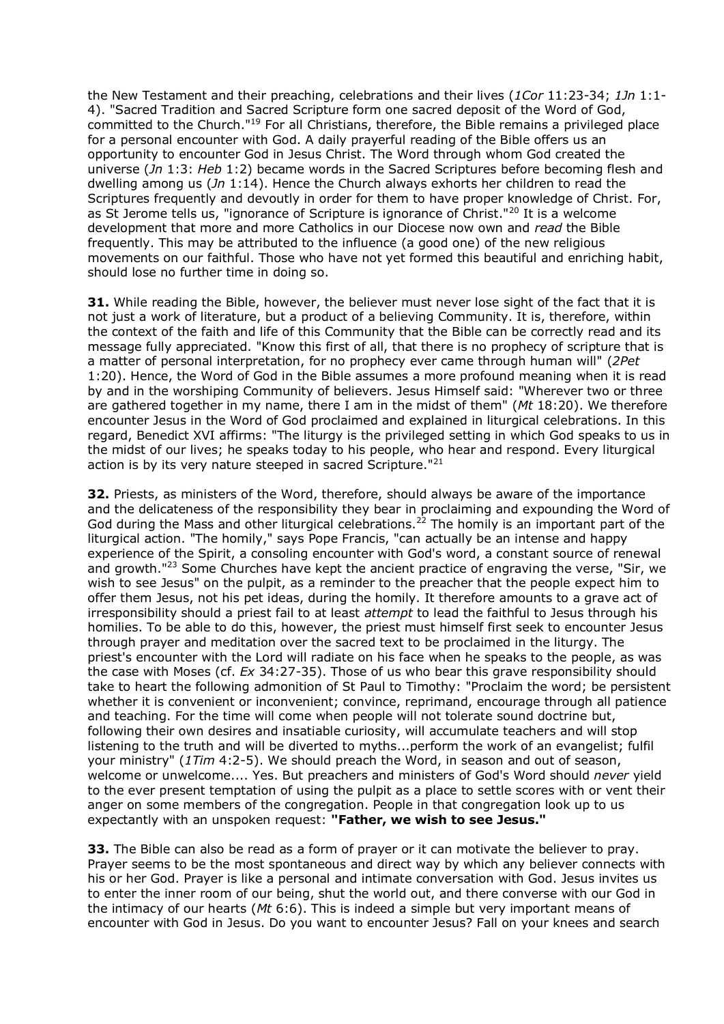the New Testament and their preaching, celebrations and their lives (*1Cor* 11:23-34; *1Jn* 1:1- 4). "Sacred Tradition and Sacred Scripture form one sacred deposit of the Word of God, committed to the Church."<sup>19</sup> For all Christians, therefore, the Bible remains a privileged place for a personal encounter with God. A daily prayerful reading of the Bible offers us an opportunity to encounter God in Jesus Christ. The Word through whom God created the universe (*Jn* 1:3: *Heb* 1:2) became words in the Sacred Scriptures before becoming flesh and dwelling among us (*Jn* 1:14). Hence the Church always exhorts her children to read the Scriptures frequently and devoutly in order for them to have proper knowledge of Christ. For, as St Jerome tells us, "ignorance of Scripture is ignorance of Christ."<sup>20</sup> It is a welcome development that more and more Catholics in our Diocese now own and *read* the Bible frequently. This may be attributed to the influence (a good one) of the new religious movements on our faithful. Those who have not yet formed this beautiful and enriching habit, should lose no further time in doing so.

**31.** While reading the Bible, however, the believer must never lose sight of the fact that it is not just a work of literature, but a product of a believing Community. It is, therefore, within the context of the faith and life of this Community that the Bible can be correctly read and its message fully appreciated. "Know this first of all, that there is no prophecy of scripture that is a matter of personal interpretation, for no prophecy ever came through human will" (*2Pet* 1:20). Hence, the Word of God in the Bible assumes a more profound meaning when it is read by and in the worshiping Community of believers. Jesus Himself said: "Wherever two or three are gathered together in my name, there I am in the midst of them" (*Mt* 18:20). We therefore encounter Jesus in the Word of God proclaimed and explained in liturgical celebrations. In this regard, Benedict XVI affirms: "The liturgy is the privileged setting in which God speaks to us in the midst of our lives; he speaks today to his people, who hear and respond. Every liturgical action is by its very nature steeped in sacred Scripture."<sup>21</sup>

**32.** Priests, as ministers of the Word, therefore, should always be aware of the importance and the delicateness of the responsibility they bear in proclaiming and expounding the Word of God during the Mass and other liturgical celebrations.<sup>22</sup> The homily is an important part of the liturgical action. "The homily," says Pope Francis, "can actually be an intense and happy experience of the Spirit, a consoling encounter with God's word, a constant source of renewal and growth."<sup>23</sup> Some Churches have kept the ancient practice of engraving the verse, "Sir, we wish to see Jesus" on the pulpit, as a reminder to the preacher that the people expect him to offer them Jesus, not his pet ideas, during the homily. It therefore amounts to a grave act of irresponsibility should a priest fail to at least *attempt* to lead the faithful to Jesus through his homilies. To be able to do this, however, the priest must himself first seek to encounter Jesus through prayer and meditation over the sacred text to be proclaimed in the liturgy. The priest's encounter with the Lord will radiate on his face when he speaks to the people, as was the case with Moses (cf. *Ex* 34:27-35). Those of us who bear this grave responsibility should take to heart the following admonition of St Paul to Timothy: "Proclaim the word; be persistent whether it is convenient or inconvenient; convince, reprimand, encourage through all patience and teaching. For the time will come when people will not tolerate sound doctrine but, following their own desires and insatiable curiosity, will accumulate teachers and will stop listening to the truth and will be diverted to myths...perform the work of an evangelist; fulfil your ministry" (*1Tim* 4:2-5). We should preach the Word, in season and out of season, welcome or unwelcome.... Yes. But preachers and ministers of God's Word should *never* yield to the ever present temptation of using the pulpit as a place to settle scores with or vent their anger on some members of the congregation. People in that congregation look up to us expectantly with an unspoken request: **"Father, we wish to see Jesus."**

**33.** The Bible can also be read as a form of prayer or it can motivate the believer to pray. Prayer seems to be the most spontaneous and direct way by which any believer connects with his or her God. Prayer is like a personal and intimate conversation with God. Jesus invites us to enter the inner room of our being, shut the world out, and there converse with our God in the intimacy of our hearts (*Mt* 6:6). This is indeed a simple but very important means of encounter with God in Jesus. Do you want to encounter Jesus? Fall on your knees and search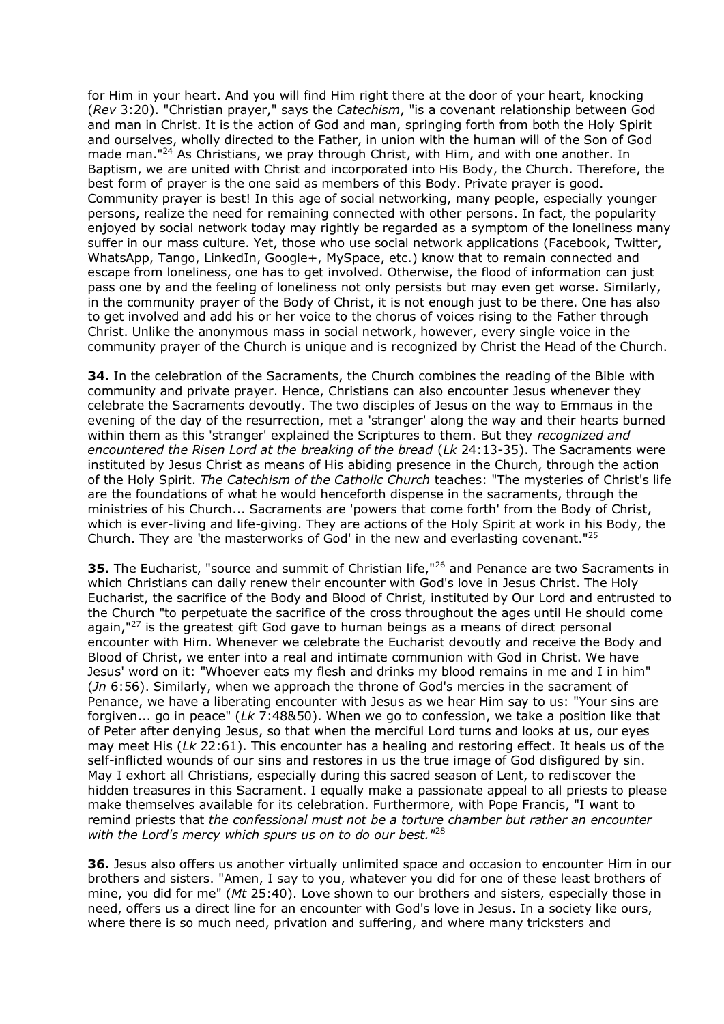for Him in your heart. And you will find Him right there at the door of your heart, knocking (*Rev* 3:20). "Christian prayer," says the *Catechism*, "is a covenant relationship between God and man in Christ. It is the action of God and man, springing forth from both the Holy Spirit and ourselves, wholly directed to the Father, in union with the human will of the Son of God made man."<sup>24</sup> As Christians, we pray through Christ, with Him, and with one another. In Baptism, we are united with Christ and incorporated into His Body, the Church. Therefore, the best form of prayer is the one said as members of this Body. Private prayer is good. Community prayer is best! In this age of social networking, many people, especially younger persons, realize the need for remaining connected with other persons. In fact, the popularity enjoyed by social network today may rightly be regarded as a symptom of the loneliness many suffer in our mass culture. Yet, those who use social network applications (Facebook, Twitter, WhatsApp, Tango, LinkedIn, Google+, MySpace, etc.) know that to remain connected and escape from loneliness, one has to get involved. Otherwise, the flood of information can just pass one by and the feeling of loneliness not only persists but may even get worse. Similarly, in the community prayer of the Body of Christ, it is not enough just to be there. One has also to get involved and add his or her voice to the chorus of voices rising to the Father through Christ. Unlike the anonymous mass in social network, however, every single voice in the community prayer of the Church is unique and is recognized by Christ the Head of the Church.

**34.** In the celebration of the Sacraments, the Church combines the reading of the Bible with community and private prayer. Hence, Christians can also encounter Jesus whenever they celebrate the Sacraments devoutly. The two disciples of Jesus on the way to Emmaus in the evening of the day of the resurrection, met a 'stranger' along the way and their hearts burned within them as this 'stranger' explained the Scriptures to them. But they *recognized and encountered the Risen Lord at the breaking of the bread* (*Lk* 24:13-35). The Sacraments were instituted by Jesus Christ as means of His abiding presence in the Church, through the action of the Holy Spirit. *The Catechism of the Catholic Church* teaches: "The mysteries of Christ's life are the foundations of what he would henceforth dispense in the sacraments, through the ministries of his Church... Sacraments are 'powers that come forth' from the Body of Christ, which is ever-living and life-giving. They are actions of the Holy Spirit at work in his Body, the Church. They are 'the masterworks of God' in the new and everlasting covenant."<sup>25</sup>

**35.** The Eucharist, "source and summit of Christian life,"<sup>26</sup> and Penance are two Sacraments in which Christians can daily renew their encounter with God's love in Jesus Christ. The Holy Eucharist, the sacrifice of the Body and Blood of Christ, instituted by Our Lord and entrusted to the Church "to perpetuate the sacrifice of the cross throughout the ages until He should come again, $127$  is the greatest gift God gave to human beings as a means of direct personal encounter with Him. Whenever we celebrate the Eucharist devoutly and receive the Body and Blood of Christ, we enter into a real and intimate communion with God in Christ. We have Jesus' word on it: "Whoever eats my flesh and drinks my blood remains in me and I in him" (*Jn* 6:56). Similarly, when we approach the throne of God's mercies in the sacrament of Penance, we have a liberating encounter with Jesus as we hear Him say to us: "Your sins are forgiven... go in peace" (*Lk* 7:48&50). When we go to confession, we take a position like that of Peter after denying Jesus, so that when the merciful Lord turns and looks at us, our eyes may meet His (*Lk* 22:61). This encounter has a healing and restoring effect. It heals us of the self-inflicted wounds of our sins and restores in us the true image of God disfigured by sin. May I exhort all Christians, especially during this sacred season of Lent, to rediscover the hidden treasures in this Sacrament. I equally make a passionate appeal to all priests to please make themselves available for its celebration. Furthermore, with Pope Francis, "I want to remind priests that *the confessional must not be a torture chamber but rather an encounter with the Lord's mercy which spurs us on to do our best."*<sup>28</sup>

**36.** Jesus also offers us another virtually unlimited space and occasion to encounter Him in our brothers and sisters. "Amen, I say to you, whatever you did for one of these least brothers of mine, you did for me" (*Mt* 25:40). Love shown to our brothers and sisters, especially those in need, offers us a direct line for an encounter with God's love in Jesus. In a society like ours, where there is so much need, privation and suffering, and where many tricksters and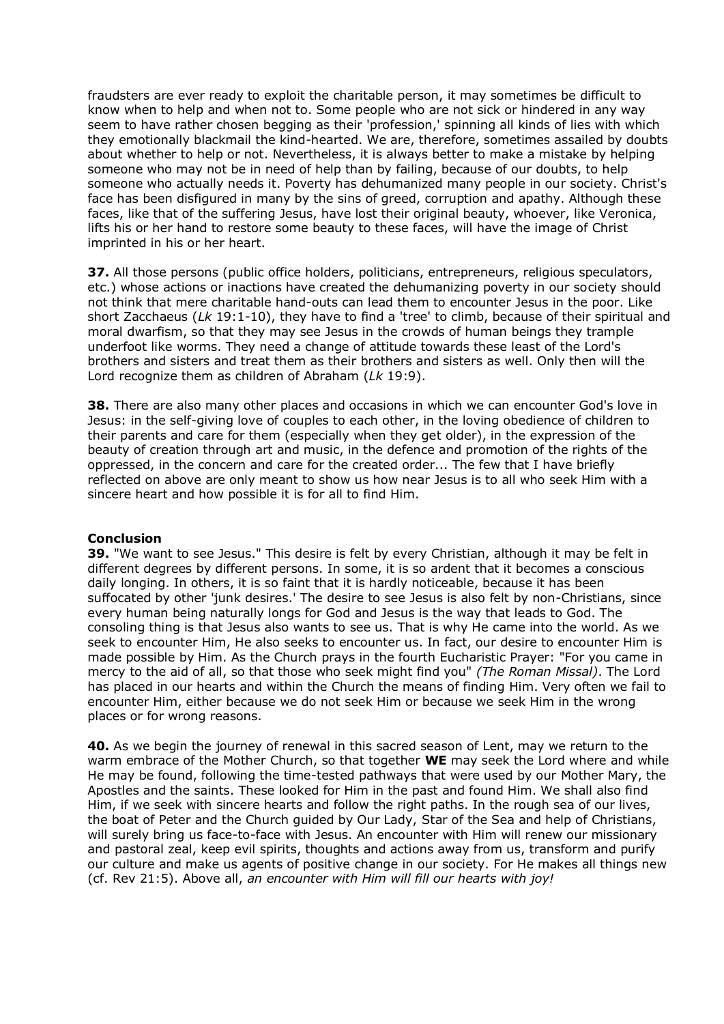fraudsters are ever ready to exploit the charitable person, it may sometimes be difficult to know when to help and when not to. Some people who are not sick or hindered in any way seem to have rather chosen begging as their 'profession,' spinning all kinds of lies with which they emotionally blackmail the kind-hearted. We are, therefore, sometimes assailed by doubts about whether to help or not. Nevertheless, it is always better to make a mistake by helping someone who may not be in need of help than by failing, because of our doubts, to help someone who actually needs it. Poverty has dehumanized many people in our society. Christ's face has been disfigured in many by the sins of greed, corruption and apathy. Although these faces, like that of the suffering Jesus, have lost their original beauty, whoever, like Veronica, lifts his or her hand to restore some beauty to these faces, will have the image of Christ imprinted in his or her heart.

**37.** All those persons (public office holders, politicians, entrepreneurs, religious speculators, etc.) whose actions or inactions have created the dehumanizing poverty in our society should not think that mere charitable hand-outs can lead them to encounter Jesus in the poor. Like short Zacchaeus (*Lk* 19:1-10), they have to find a 'tree' to climb, because of their spiritual and moral dwarfism, so that they may see Jesus in the crowds of human beings they trample underfoot like worms. They need a change of attitude towards these least of the Lord's brothers and sisters and treat them as their brothers and sisters as well. Only then will the Lord recognize them as children of Abraham (*Lk* 19:9).

**38.** There are also many other places and occasions in which we can encounter God's love in Jesus: in the self-giving love of couples to each other, in the loving obedience of children to their parents and care for them (especially when they get older), in the expression of the beauty of creation through art and music, in the defence and promotion of the rights of the oppressed, in the concern and care for the created order... The few that I have briefly reflected on above are only meant to show us how near Jesus is to all who seek Him with a sincere heart and how possible it is for all to find Him.

#### **Conclusion**

**39.** "We want to see Jesus." This desire is felt by every Christian, although it may be felt in different degrees by different persons. In some, it is so ardent that it becomes a conscious daily longing. In others, it is so faint that it is hardly noticeable, because it has been suffocated by other 'junk desires.' The desire to see Jesus is also felt by non-Christians, since every human being naturally longs for God and Jesus is the way that leads to God. The consoling thing is that Jesus also wants to see us. That is why He came into the world. As we seek to encounter Him, He also seeks to encounter us. In fact, our desire to encounter Him is made possible by Him. As the Church prays in the fourth Eucharistic Prayer: "For you came in mercy to the aid of all, so that those who seek might find you" *(The Roman Missal)*. The Lord has placed in our hearts and within the Church the means of finding Him. Very often we fail to encounter Him, either because we do not seek Him or because we seek Him in the wrong places or for wrong reasons.

**40.** As we begin the journey of renewal in this sacred season of Lent, may we return to the warm embrace of the Mother Church, so that together **WE** may seek the Lord where and while He may be found, following the time-tested pathways that were used by our Mother Mary, the Apostles and the saints. These looked for Him in the past and found Him. We shall also find Him, if we seek with sincere hearts and follow the right paths. In the rough sea of our lives, the boat of Peter and the Church guided by Our Lady, Star of the Sea and help of Christians, will surely bring us face-to-face with Jesus. An encounter with Him will renew our missionary and pastoral zeal, keep evil spirits, thoughts and actions away from us, transform and purify our culture and make us agents of positive change in our society. For He makes all things new (cf. Rev 21:5). Above all, *an encounter with Him will fill our hearts with joy!*